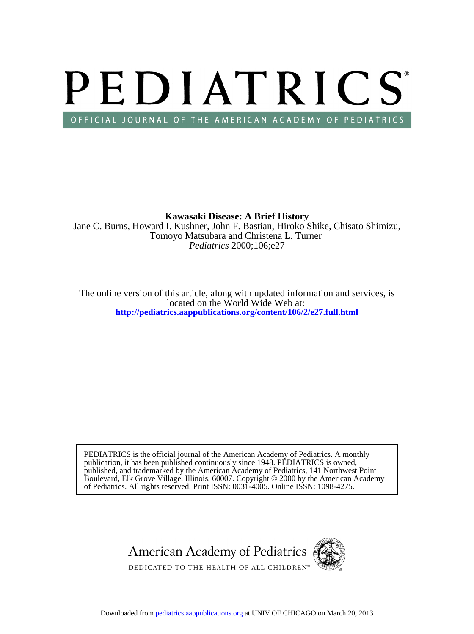# PEDIATRICS OFFICIAL JOURNAL OF THE AMERICAN ACADEMY OF PEDIATRICS

*Pediatrics* 2000;106;e27 Tomoyo Matsubara and Christena L. Turner Jane C. Burns, Howard I. Kushner, John F. Bastian, Hiroko Shike, Chisato Shimizu, **Kawasaki Disease: A Brief History**

**<http://pediatrics.aappublications.org/content/106/2/e27.full.html>** located on the World Wide Web at: The online version of this article, along with updated information and services, is

of Pediatrics. All rights reserved. Print ISSN: 0031-4005. Online ISSN: 1098-4275. Boulevard, Elk Grove Village, Illinois, 60007. Copyright © 2000 by the American Academy published, and trademarked by the American Academy of Pediatrics, 141 Northwest Point publication, it has been published continuously since 1948. PEDIATRICS is owned, PEDIATRICS is the official journal of the American Academy of Pediatrics. A monthly

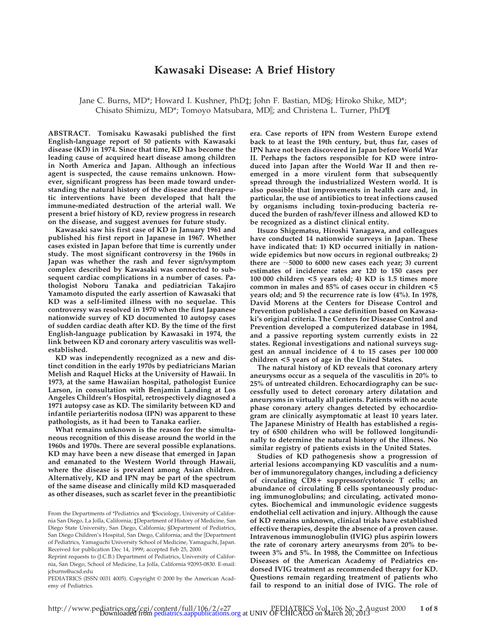# **Kawasaki Disease: A Brief History**

Jane C. Burns, MD\*; Howard I. Kushner, PhD‡; John F. Bastian, MD§; Hiroko Shike, MD\*; Chisato Shimizu, MD\*; Tomoyo Matsubara, MDi; and Christena L. Turner, PhD¶

**ABSTRACT. Tomisaku Kawasaki published the first English-language report of 50 patients with Kawasaki disease (KD) in 1974. Since that time, KD has become the leading cause of acquired heart disease among children in North America and Japan. Although an infectious agent is suspected, the cause remains unknown. However, significant progress has been made toward understanding the natural history of the disease and therapeutic interventions have been developed that halt the immune-mediated destruction of the arterial wall. We present a brief history of KD, review progress in research on the disease, and suggest avenues for future study.**

**Kawasaki saw his first case of KD in January 1961 and published his first report in Japanese in 1967. Whether cases existed in Japan before that time is currently under study. The most significant controversy in the 1960s in Japan was whether the rash and fever sign/symptom complex described by Kawasaki was connected to subsequent cardiac complications in a number of cases. Pathologist Noboru Tanaka and pediatrician Takajiro Yamamoto disputed the early assertion of Kawasaki that KD was a self-limited illness with no sequelae. This controversy was resolved in 1970 when the first Japanese nationwide survey of KD documented 10 autopsy cases of sudden cardiac death after KD. By the time of the first English-language publication by Kawasaki in 1974, the link between KD and coronary artery vasculitis was wellestablished.**

**KD was independently recognized as a new and distinct condition in the early 1970s by pediatricians Marian Melish and Raquel Hicks at the University of Hawaii. In 1973, at the same Hawaiian hospital, pathologist Eunice Larson, in consultation with Benjamin Landing at Los Angeles Children's Hospital, retrospectively diagnosed a 1971 autopsy case as KD. The similarity between KD and infantile periarteritis nodosa (IPN) was apparent to these pathologists, as it had been to Tanaka earlier.**

**What remains unknown is the reason for the simultaneous recognition of this disease around the world in the 1960s and 1970s. There are several possible explanations. KD may have been a new disease that emerged in Japan and emanated to the Western World through Hawaii, where the disease is prevalent among Asian children. Alternatively, KD and IPN may be part of the spectrum of the same disease and clinically mild KD masqueraded as other diseases, such as scarlet fever in the preantibiotic**

PEDIATRICS (ISSN 0031 4005). Copyright © 2000 by the American Academy of Pediatrics.

**era. Case reports of IPN from Western Europe extend back to at least the 19th century, but, thus far, cases of IPN have not been discovered in Japan before World War II. Perhaps the factors responsible for KD were introduced into Japan after the World War II and then reemerged in a more virulent form that subsequently spread through the industrialized Western world. It is also possible that improvements in health care and, in particular, the use of antibiotics to treat infections caused by organisms including toxin-producing bacteria reduced the burden of rash/fever illness and allowed KD to be recognized as a distinct clinical entity.**

**Itsuzo Shigematsu, Hiroshi Yanagawa, and colleagues have conducted 14 nationwide surveys in Japan. These have indicated that: 1) KD occurred initially in nationwide epidemics but now occurs in regional outbreaks; 2)** there are  $\sim$  5000 to 6000 new cases each year; 3) current **estimates of incidence rates are 120 to 150 cases per 100 000 children <5 years old; 4) KD is 1.5 times more common in males and 85% of cases occur in children <5 years old; and 5) the recurrence rate is low (4%). In 1978, David Morens at the Centers for Disease Control and Prevention published a case definition based on Kawasaki's original criteria. The Centers for Disease Control and Prevention developed a computerized database in 1984, and a passive reporting system currently exists in 22 states. Regional investigations and national surveys suggest an annual incidence of 4 to 15 cases per 100 000 children <5 years of age in the United States.**

**The natural history of KD reveals that coronary artery aneurysms occur as a sequela of the vasculitis in 20% to 25% of untreated children. Echocardiography can be successfully used to detect coronary artery dilatation and aneurysms in virtually all patients. Patients with no acute phase coronary artery changes detected by echocardiogram are clinically asymptomatic at least 10 years later. The Japanese Ministry of Health has established a registry of 6500 children who will be followed longitundinally to determine the natural history of the illness. No similar registry of patients exists in the United States.**

**Studies of KD pathogenesis show a progression of arterial lesions accompanying KD vasculitis and a number of immunoregulatory changes, including a deficiency of circulating CD8**1 **suppressor/cytotoxic T cells; an abundance of circulating B cells spontaneously producing immunoglobulins; and circulating, activated monocytes. Biochemical and immunologic evidence suggests endothelial cell activation and injury. Although the cause of KD remains unknown, clinical trials have established effective therapies, despite the absence of a proven cause. Intravenous immunoglobulin (IVIG) plus aspirin lowers the rate of coronary artery aneurysms from 20% to between 3% and 5%. In 1988, the Committee on Infectious Diseases of the American Academy of Pediatrics endorsed IVIG treatment as recommended therapy for KD. Questions remain regarding treatment of patients who fail to respond to an initial dose of IVIG. The role of**

From the Departments of \*Pediatrics and ¶Sociology, University of California San Diego, La Jolla, California; ‡Department of History of Medicine, San Diego State University, San Diego, California; §Department of Pediatrics, San Diego Children's Hospital, San Diego, California; and the *Department* of Pediatrics, Yamaguchi University School of Medicine, Yamaguchi, Japan. Received for publication Dec 14, 1999; accepted Feb 25, 2000.

Reprint requests to (J.C.B.) Department of Pediatrics, University of California, San Diego, School of Medicine, La Jolla, California 92093-0830. E-mail: jcburns@ucsd.edu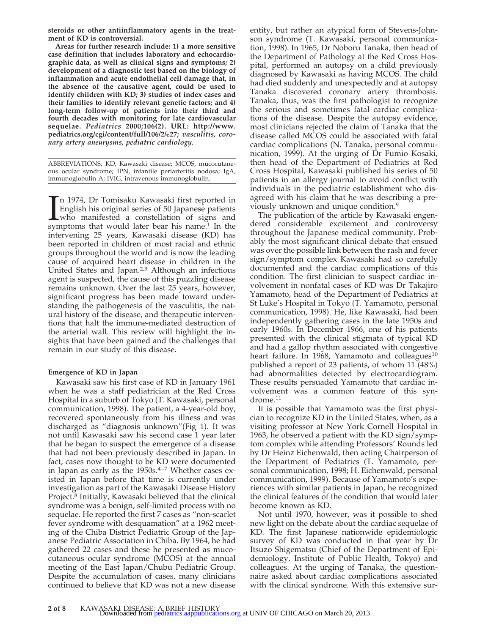**steroids or other antiinflammatory agents in the treatment of KD is controversial.**

**Areas for further research include: 1) a more sensitive case definition that includes laboratory and echocardiographic data, as well as clinical signs and symptoms; 2) development of a diagnostic test based on the biology of inflammation and acute endothelial cell damage that, in the absence of the causative agent, could be used to identify children with KD; 3) studies of index cases and their families to identify relevant genetic factors; and 4) long-term follow-up of patients into their third and fourth decades with monitoring for late cardiovascular sequelae.** *Pediatrics* **2000;106(2). URL: http://www. pediatrics.org/cgi/content/full/106/2/e27;** *vasculitis, coronary artery aneurysms, pediatric cardiology.*

ABBREVIATIONS. KD, Kawasaki disease; MCOS, mucocutaneous ocular syndrome; IPN, infantile periarteritis nodosa; IgA, immunoglobulin A; IVIG, intravenous immunoglobulin.

In 1974, Dr Tomisaku Kawasaki first reported in English his original series of 50 Japanese patients<br>who manifested a constellation of signs and<br>symptoms that would later bear his name.<sup>1</sup> In the n 1974, Dr Tomisaku Kawasaki first reported in English his original series of 50 Japanese patients **L**who manifested a constellation of signs and intervening 25 years, Kawasaki disease (KD) has been reported in children of most racial and ethnic groups throughout the world and is now the leading cause of acquired heart disease in children in the United States and Japan.2,3 Although an infectious agent is suspected, the cause of this puzzling disease remains unknown. Over the last 25 years, however, significant progress has been made toward understanding the pathogenesis of the vasculitis, the natural history of the disease, and therapeutic interventions that halt the immune-mediated destruction of the arterial wall. This review will highlight the insights that have been gained and the challenges that remain in our study of this disease.

## **Emergence of KD in Japan**

Kawasaki saw his first case of KD in January 1961 when he was a staff pediatrician at the Red Cross Hospital in a suburb of Tokyo (T. Kawasaki, personal communication, 1998). The patient, a 4-year-old boy, recovered spontaneously from his illness and was discharged as "diagnosis unknown"(Fig 1). It was not until Kawasaki saw his second case 1 year later that he began to suspect the emergence of a disease that had not been previously described in Japan. In fact, cases now thought to be KD were documented in Japan as early as the  $1950s$ .<sup>4-7</sup> Whether cases existed in Japan before that time is currently under investigation as part of the Kawasaki Disease History Project.8 Initially, Kawasaki believed that the clinical syndrome was a benign, self-limited process with no sequelae. He reported the first 7 cases as "non-scarlet fever syndrome with desquamation" at a 1962 meeting of the Chiba District Pediatric Group of the Japanese Pediatric Association in Chiba. By 1964, he had gathered 22 cases and these he presented as mucocutaneous ocular syndrome (MCOS) at the annual meeting of the East Japan/Chubu Pediatric Group. Despite the accumulation of cases, many clinicians continued to believe that KD was not a new disease

entity, but rather an atypical form of Stevens-Johnson syndrome (T. Kawasaki, personal communication, 1998). In 1965, Dr Noboru Tanaka, then head of the Department of Pathology at the Red Cross Hospital, performed an autopsy on a child previously diagnosed by Kawasaki as having MCOS. The child had died suddenly and unexpectedly and at autopsy Tanaka discovered coronary artery thrombosis. Tanaka, thus, was the first pathologist to recognize the serious and sometimes fatal cardiac complications of the disease. Despite the autopsy evidence, most clinicians rejected the claim of Tanaka that the disease called MCOS could be associated with fatal cardiac complications (N. Tanaka, personal communication, 1999). At the urging of Dr Fumio Kosaki, then head of the Department of Pediatrics at Red Cross Hospital, Kawasaki published his series of 50 patients in an allergy journal to avoid conflict with individuals in the pediatric establishment who disagreed with his claim that he was describing a previously unknown and unique condition.<sup>9</sup>

The publication of the article by Kawasaki engendered considerable excitement and controversy throughout the Japanese medical community. Probably the most significant clinical debate that ensued was over the possible link between the rash and fever sign/symptom complex Kawasaki had so carefully documented and the cardiac complications of this condition. The first clinician to suspect cardiac involvement in nonfatal cases of KD was Dr Takajiro Yamamoto, head of the Department of Pediatrics at St Luke's Hospital in Tokyo (T. Yamamoto, personal communication, 1998). He, like Kawasaki, had been independently gathering cases in the late 1950s and early 1960s. In December 1966, one of his patients presented with the clinical stigmata of typical KD and had a gallop rhythm associated with congestive heart failure. In 1968, Yamamoto and colleagues<sup>10</sup> published a report of 23 patients, of whom 11 (48%) had abnormalities detected by electrocardiogram. These results persuaded Yamamoto that cardiac involvement was a common feature of this syndrome.<sup>11</sup>

It is possible that Yamamoto was the first physician to recognize KD in the United States, when, as a visiting professor at New York Cornell Hospital in 1963, he observed a patient with the KD sign/symptom complex while attending Professors' Rounds led by Dr Heinz Eichenwald, then acting Chairperson of the Department of Pediatrics (T. Yamamoto, personal communication, 1998; H. Eichenwald, personal communication, 1999). Because of Yamamoto's experiences with similar patients in Japan, he recognized the clinical features of the condition that would later become known as KD.

Not until 1970, however, was it possible to shed new light on the debate about the cardiac sequelae of KD. The first Japanese nationwide epidemiologic survey of KD was conducted in that year by Dr Itsuzo Shigematsu (Chief of the Department of Epidemiology, Institute of Public Health, Tokyo) and colleagues. At the urging of Tanaka, the questionnaire asked about cardiac complications associated with the clinical syndrome. With this extensive sur-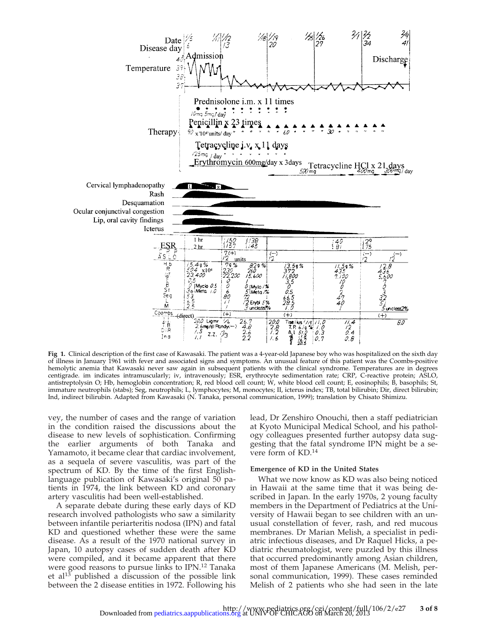

**Fig 1.** Clinical description of the first case of Kawasaki. The patient was a 4-year-old Japanese boy who was hospitalized on the sixth day of illness in January 1961 with fever and associated signs and symptoms. An unusual feature of this patient was the Coombs-positive hemolytic anemia that Kawasaki never saw again in subsequent patients with the clinical syndrome. Temperatures are in degrees centigrade. im indicates intramuscularly; iv, intravenously; ESR, erythrocyte sedimentation rate; CRP, C-reactive protein; ASLO, antistreptolysin O; Hb, hemoglobin concentration; R, red blood cell count; W, white blood cell count; E, eosinophils; B, basophils; St, immature neutrophils (stabs); Seg, neutrophils; L, lymphocytes; M, monocytes; II, icterus index; TB, total bilirubin; Dir, direct bilirubin; Ind, indirect bilirubin. Adapted from Kawasaki (N. Tanaka, personal communication, 1999); translation by Chisato Shimizu.

vey, the number of cases and the range of variation in the condition raised the discussions about the disease to new levels of sophistication. Confirming the earlier arguments of both Tanaka and Yamamoto, it became clear that cardiac involvement, as a sequela of severe vasculitis, was part of the spectrum of KD. By the time of the first Englishlanguage publication of Kawasaki's original 50 patients in 1974, the link between KD and coronary artery vasculitis had been well-established.

A separate debate during these early days of KD research involved pathologists who saw a similarity between infantile periarteritis nodosa (IPN) and fatal KD and questioned whether these were the same disease. As a result of the 1970 national survey in Japan, 10 autopsy cases of sudden death after KD were compiled, and it became apparent that there were good reasons to pursue links to IPN.12 Tanaka et al<sup>13</sup> published a discussion of the possible link between the 2 disease entities in 1972. Following his

lead, Dr Zenshiro Onouchi, then a staff pediatrician at Kyoto Municipal Medical School, and his pathology colleagues presented further autopsy data suggesting that the fatal syndrome IPN might be a severe form of KD.14

#### **Emergence of KD in the United States**

What we now know as KD was also being noticed in Hawaii at the same time that it was being described in Japan. In the early 1970s, 2 young faculty members in the Department of Pediatrics at the University of Hawaii began to see children with an unusual constellation of fever, rash, and red mucous membranes. Dr Marian Melish, a specialist in pediatric infectious diseases, and Dr Raquel Hicks, a pediatric rheumatologist, were puzzled by this illness that occurred predominantly among Asian children, most of them Japanese Americans (M. Melish, personal communication, 1999). These cases reminded Melish of 2 patients who she had seen in the late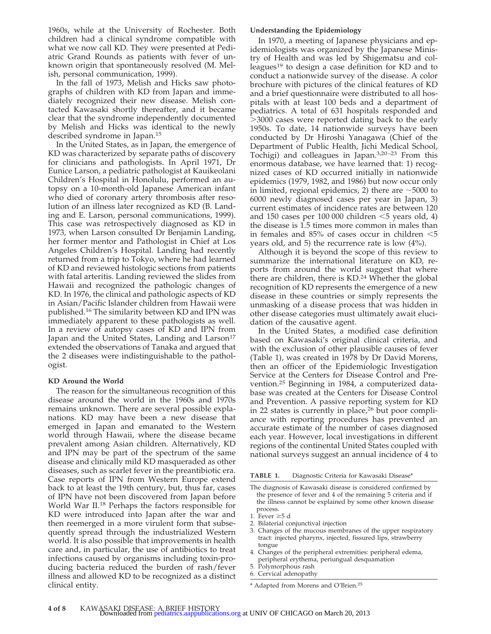1960s, while at the University of Rochester. Both children had a clinical syndrome compatible with what we now call KD. They were presented at Pediatric Grand Rounds as patients with fever of unknown origin that spontaneously resolved (M. Melish, personal communication, 1999).

In the fall of 1973, Melish and Hicks saw photographs of children with KD from Japan and immediately recognized their new disease. Melish contacted Kawasaki shortly thereafter, and it became clear that the syndrome independently documented by Melish and Hicks was identical to the newly described syndrome in Japan.15

In the United States, as in Japan, the emergence of KD was characterized by separate paths of discovery for clinicians and pathologists. In April 1971, Dr Eunice Larson, a pediatric pathologist at Kauikeolani Children's Hospital in Honolulu, performed an autopsy on a 10-month-old Japanese American infant who died of coronary artery thrombosis after resolution of an illness later recognized as KD (B. Landing and E. Larson, personal communications, 1999). This case was retrospectively diagnosed as KD in 1973, when Larson consulted Dr Benjamin Landing, her former mentor and Pathologist in Chief at Los Angeles Children's Hospital. Landing had recently returned from a trip to Tokyo, where he had learned of KD and reviewed histologic sections from patients with fatal arteritis. Landing reviewed the slides from Hawaii and recognized the pathologic changes of KD. In 1976, the clinical and pathologic aspects of KD in Asian/Pacific Islander children from Hawaii were published.16 The similarity between KD and IPN was immediately apparent to these pathologists as well. In a review of autopsy cases of KD and IPN from Japan and the United States, Landing and Larson<sup>17</sup> extended the observations of Tanaka and argued that the 2 diseases were indistinguishable to the pathologist.

## **KD Around the World**

The reason for the simultaneous recognition of this disease around the world in the 1960s and 1970s remains unknown. There are several possible explanations. KD may have been a new disease that emerged in Japan and emanated to the Western world through Hawaii, where the disease became prevalent among Asian children. Alternatively, KD and IPN may be part of the spectrum of the same disease and clinically mild KD masqueraded as other diseases, such as scarlet fever in the preantibiotic era. Case reports of IPN from Western Europe extend back to at least the 19th century, but, thus far, cases of IPN have not been discovered from Japan before World War II.<sup>18</sup> Perhaps the factors responsible for KD were introduced into Japan after the war and then reemerged in a more virulent form that subsequently spread through the industrialized Western world. It is also possible that improvements in health care and, in particular, the use of antibiotics to treat infections caused by organisms including toxin-producing bacteria reduced the burden of rash/fever illness and allowed KD to be recognized as a distinct clinical entity.

#### **Understanding the Epidemiology**

In 1970, a meeting of Japanese physicians and epidemiologists was organized by the Japanese Ministry of Health and was led by Shigematsu and colleagues<sup>19</sup> to design a case definition for KD and to conduct a nationwide survey of the disease. A color brochure with pictures of the clinical features of KD and a brief questionnaire were distributed to all hospitals with at least 100 beds and a department of pediatrics. A total of 631 hospitals responded and .3000 cases were reported dating back to the early 1950s. To date, 14 nationwide surveys have been conducted by Dr Hiroshi Yanagawa (Chief of the Department of Public Health, Jichi Medical School, Tochigi) and colleagues in Japan.3,20–23 From this enormous database, we have learned that: 1) recognized cases of KD occurred initially in nationwide epidemics (1979, 1982, and 1986) but now occur only in limited, regional epidemics, 2) there are  $\sim$ 5000 to 6000 newly diagnosed cases per year in Japan, 3) current estimates of incidence rates are between 120 and 150 cases per 100 000 children  $<$ 5 years old, 4) the disease is 1.5 times more common in males than in females and  $85\%$  of cases occur in children  $\leq 5$ years old, and 5) the recurrence rate is low (4%).

Although it is beyond the scope of this review to summarize the international literature on KD, reports from around the world suggest that where there are children, there is KD.<sup>24</sup> Whether the global recognition of KD represents the emergence of a new disease in these countries or simply represents the unmasking of a disease process that was hidden in other disease categories must ultimately await elucidation of the causative agent.

In the United States, a modified case definition based on Kawasaki's original clinical criteria, and with the exclusion of other plausible causes of fever (Table 1), was created in 1978 by Dr David Morens, then an officer of the Epidemiologic Investigation Service at the Centers for Disease Control and Prevention.25 Beginning in 1984, a computerized database was created at the Centers for Disease Control and Prevention. A passive reporting system for KD in 22 states is currently in place, $26$  but poor compliance with reporting procedures has prevented an accurate estimate of the number of cases diagnosed each year. However, local investigations in different regions of the continental United States coupled with national surveys suggest an annual incidence of 4 to

**TABLE 1.** Diagnostic Criteria for Kawasaki Disease\*

- The diagnosis of Kawasaki disease is considered confirmed by the presence of fever and 4 of the remaining 5 criteria and if the illness cannot be explained by some other known disease process.
- 1. Fever  $\geq 5$  d
- 2. Bilaterial conjunctival injection
- 3. Changes of the mucous membranes of the upper respiratory tract: injected pharynx, injected, fissured lips, strawberry tongue
- 4. Changes of the peripheral extremities: peripheral edema, peripheral erythema, periungual desquamation
- 5. Polymorphous rash
- 6. Cervical adenopathy

\* Adapted from Morens and O'Brien.25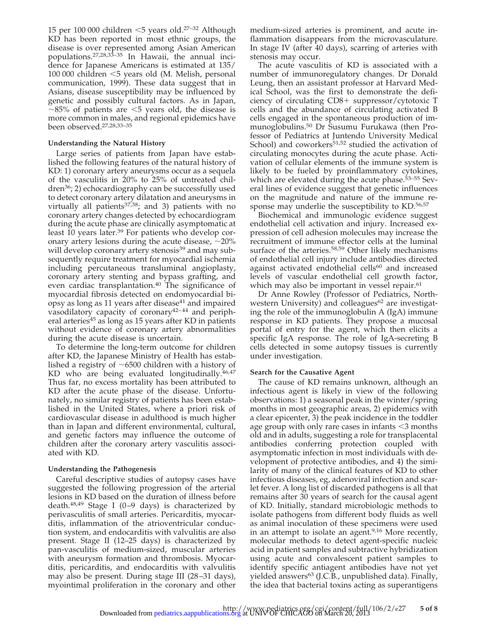15 per 100 000 children  $<$ 5 years old.<sup>27–32</sup> Although KD has been reported in most ethnic groups, the disease is over represented among Asian American populations.27,28,33–35 In Hawaii, the annual incidence for Japanese Americans is estimated at 135/ 100 000 children  $<$ 5 years old (M. Melish, personal communication, 1999). These data suggest that in Asians, disease susceptibility may be influenced by genetic and possibly cultural factors. As in Japan,  $\sim$ 85% of patients are  $\leq$ 5 years old, the disease is more common in males, and regional epidemics have been observed.27,28,33–35

## **Understanding the Natural History**

Large series of patients from Japan have established the following features of the natural history of KD: 1) coronary artery aneurysms occur as a sequela of the vasculitis in 20% to 25% of untreated children36; 2) echocardiography can be successfully used to detect coronary artery dilatation and aneurysms in virtually all patients $37,38$ ; and 3) patients with no coronary artery changes detected by echocardiogram during the acute phase are clinically asymptomatic at least 10 years later.39 For patients who develop coronary artery lesions during the acute disease,  $\sim$ 20% will develop coronary artery stenosis<sup>39</sup> and may subsequently require treatment for myocardial ischemia including percutaneous transluminal angioplasty, coronary artery stenting and bypass grafting, and even cardiac transplantation.40 The significance of myocardial fibrosis detected on endomyocardial biopsy as long as 11 years after disease $41$  and impaired vasodilatory capacity of coronary<sup>42-44</sup> and peripheral arteries<sup>45</sup> as long as 15 years after KD in patients without evidence of coronary artery abnormalities during the acute disease is uncertain.

To determine the long-term outcome for children after KD, the Japanese Ministry of Health has established a registry of  $\sim$ 6500 children with a history of KD who are being evaluated longitudinally.<sup>46,47</sup> Thus far, no excess mortality has been attributed to KD after the acute phase of the disease. Unfortunately, no similar registry of patients has been established in the United States, where a priori risk of cardiovascular disease in adulthood is much higher than in Japan and different environmental, cultural, and genetic factors may influence the outcome of children after the coronary artery vasculitis associated with KD.

## **Understanding the Pathogenesis**

Careful descriptive studies of autopsy cases have suggested the following progression of the arterial lesions in KD based on the duration of illness before death. $48,49$  Stage I (0–9 days) is characterized by perivasculitis of small arteries. Pericarditis, myocarditis, inflammation of the atrioventricular conduction system, and endocarditis with valvulitis are also present. Stage II (12–25 days) is characterized by pan-vasculitis of medium-sized, muscular arteries with aneurysm formation and thrombosis. Myocarditis, pericarditis, and endocarditis with valvulitis may also be present. During stage III (28–31 days), myointimal proliferation in the coronary and other medium-sized arteries is prominent, and acute inflammation disappears from the microvasculature. In stage IV (after 40 days), scarring of arteries with stenosis may occur.

The acute vasculitis of KD is associated with a number of immunoregulatory changes. Dr Donald Leung, then an assistant professor at Harvard Medical School, was the first to demonstrate the deficiency of circulating  $CD8+$  suppressor/cytotoxic T cells and the abundance of circulating activated B cells engaged in the spontaneous production of immunoglobulins.50 Dr Susumu Furukawa (then Professor of Pediatrics at Juntendo University Medical School) and coworkers<sup>51,52</sup> studied the activation of circulating monocytes during the acute phase. Activation of cellular elements of the immune system is likely to be fueled by proinflammatory cytokines, which are elevated during the acute phase.<sup>53–55</sup> Several lines of evidence suggest that genetic influences on the magnitude and nature of the immune response may underlie the susceptibility to KD.<sup>56,57</sup>

Biochemical and immunologic evidence suggest endothelial cell activation and injury. Increased expression of cell adhesion molecules may increase the recruitment of immune effector cells at the luminal surface of the arteries.<sup>58,59</sup> Other likely mechanisms of endothelial cell injury include antibodies directed against activated endothelial cells<sup>60</sup> and increased levels of vascular endothelial cell growth factor, which may also be important in vessel repair.<sup>61</sup>

Dr Anne Rowley (Professor of Pediatrics, Northwestern University) and colleagues<sup>62</sup> are investigating the role of the immunoglobulin A (IgA) immune response in KD patients. They propose a mucosal portal of entry for the agent, which then elicits a specific IgA response. The role of IgA-secreting B cells detected in some autopsy tissues is currently under investigation.

# **Search for the Causative Agent**

The cause of KD remains unknown, although an infectious agent is likely in view of the following observations: 1) a seasonal peak in the winter/spring months in most geographic areas, 2) epidemics with a clear epicenter, 3) the peak incidence in the toddler age group with only rare cases in infants  $\leq$ 3 months old and in adults, suggesting a role for transplacental antibodies conferring protection coupled with asymptomatic infection in most individuals with development of protective antibodies, and 4) the similarity of many of the clinical features of KD to other infectious diseases, eg, adenoviral infection and scarlet fever. A long list of discarded pathogens is all that remains after 30 years of search for the causal agent of KD. Initially, standard microbiologic methods to isolate pathogens from different body fluids as well as animal inoculation of these specimens were used in an attempt to isolate an agent.<sup>9,16</sup> More recently, molecular methods to detect agent-specific nucleic acid in patient samples and subtractive hybridization using acute and convalescent patient samples to identify specific antiagent antibodies have not yet yielded answers<sup>63</sup> (J.C.B., unpublished data). Finally, the idea that bacterial toxins acting as superantigens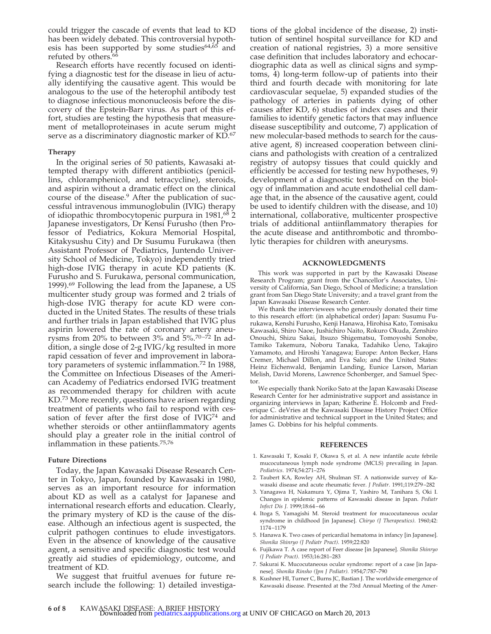could trigger the cascade of events that lead to KD has been widely debated. This controversial hypothesis has been supported by some studies $64,65$  and refuted by others.<sup>66</sup>

Research efforts have recently focused on identifying a diagnostic test for the disease in lieu of actually identifying the causative agent. This would be analogous to the use of the heterophil antibody test to diagnose infectious mononucleosis before the discovery of the Epstein-Barr virus. As part of this effort, studies are testing the hypothesis that measurement of metalloproteinases in acute serum might serve as a discriminatory diagnostic marker of KD.67

#### **Therapy**

In the original series of 50 patients, Kawasaki attempted therapy with different antibiotics (penicillins, chloramphenicol, and tetracycline), steroids, and aspirin without a dramatic effect on the clinical course of the disease.9 After the publication of successful intravenous immunoglobulin (IVIG) therapy of idiopathic thrombocytopenic purpura in 1981,68 2 Japanese investigators, Dr Kensi Furusho (then Professor of Pediatrics, Kokura Memorial Hospital, Kitakysushu City) and Dr Susumu Furukawa (then Assistant Professor of Pediatrics, Juntendo University School of Medicine, Tokyo) independently tried high-dose IVIG therapy in acute KD patients (K. Furusho and S. Furukawa, personal communication, 1999).69 Following the lead from the Japanese, a US multicenter study group was formed and 2 trials of high-dose IVIG therapy for acute KD were conducted in the United States. The results of these trials and further trials in Japan established that IVIG plus aspirin lowered the rate of coronary artery aneurysms from 20% to between 3% and  $5\frac{0.70-72}{0.71}$  In addition, a single dose of 2-g IVIG/kg resulted in more rapid cessation of fever and improvement in laboratory parameters of systemic inflammation.<sup>72</sup> In 1988, the Committee on Infectious Diseases of the American Academy of Pediatrics endorsed IVIG treatment as recommended therapy for children with acute KD.73 More recently, questions have arisen regarding treatment of patients who fail to respond with cessation of fever after the first dose of IVIG<sup>74</sup> and whether steroids or other antiinflammatory agents should play a greater role in the initial control of inflammation in these patients.75,76

#### **Future Directions**

Today, the Japan Kawasaki Disease Research Center in Tokyo, Japan, founded by Kawasaki in 1980, serves as an important resource for information about KD as well as a catalyst for Japanese and international research efforts and education. Clearly, the primary mystery of KD is the cause of the disease. Although an infectious agent is suspected, the culprit pathogen continues to elude investigators. Even in the absence of knowledge of the causative agent, a sensitive and specific diagnostic test would greatly aid studies of epidemiology, outcome, and treatment of KD.

We suggest that fruitful avenues for future research include the following: 1) detailed investigations of the global incidence of the disease, 2) institution of sentinel hospital surveillance for KD and creation of national registries, 3) a more sensitive case definition that includes laboratory and echocardiographic data as well as clinical signs and symptoms, 4) long-term follow-up of patients into their third and fourth decade with monitoring for late cardiovascular sequelae, 5) expanded studies of the pathology of arteries in patients dying of other causes after KD, 6) studies of index cases and their families to identify genetic factors that may influence disease susceptibility and outcome, 7) application of new molecular-based methods to search for the causative agent, 8) increased cooperation between clinicians and pathologists with creation of a centralized registry of autopsy tissues that could quickly and efficiently be accessed for testing new hypotheses, 9) development of a diagnostic test based on the biology of inflammation and acute endothelial cell damage that, in the absence of the causative agent, could be used to identify children with the disease, and 10) international, collaborative, multicenter prospective trials of additional antiinflammatory therapies for the acute disease and antithrombotic and thrombolytic therapies for children with aneurysms.

#### **ACKNOWLEDGMENTS**

This work was supported in part by the Kawasaki Disease Research Program; grant from the Chancellor's Associates, University of California, San Diego, School of Medicine; a translation grant from San Diego State University; and a travel grant from the Japan Kawasaki Disease Research Center.

We thank the interviewees who generously donated their time to this research effort: (in alphabetical order) Japan: Susumu Furukawa, Kenshi Furusho, Kenji Hanawa, Hirohisa Kato, Tomisaku Kawasaki, Shiro Naoe, Jushichiro Naito, Rokuro Okuda, Zenshiro Onouchi, Shizu Sakai, Itsuzo Shigematsu, Tomoyoshi Sonobe, Tamiko Takemura, Noboru Tanaka, Tadahiko Ueno, Takajiro Yamamoto, and Hiroshi Yanagawa; Europe: Anton Becker, Hans Cremer, Michael Dillon, and Eva Salo; and the United States: Heinz Eichenwald, Benjamin Landing, Eunice Larson, Marian Melish, David Morens, Lawrence Schonberger, and Samuel Spector.

We especially thank Noriko Sato at the Japan Kawasaki Disease Research Center for her administrative support and assistance in organizing interviews in Japan; Katherine E. Holcomb and Frederique C. deVries at the Kawasaki Disease History Project Office for administrative and technical support in the United States; and James G. Dobbins for his helpful comments.

#### **REFERENCES**

- 1. Kawasaki T, Kosaki F, Okawa S, et al. A new infantile acute febrile mucocutaneous lymph node syndrome (MCLS) prevailing in Japan. *Pediatrics*. 1974;54:271–276
- 2. Taubert KA, Rowley AH, Shulman ST. A nationwide survey of Kawasaki disease and acute rheumatic fever. *J Pediatr*. 1991;119:279–282
- 3. Yanagawa H, Nakamura Y, Ojima T, Yashiro M, Tanihara S, Oki I. Changes in epidemic patterns of Kawasaki disease in Japan. *Pediatr Infect Dis J*. 1999;18:64–66
- 4. Itoga S, Yamagishi M. Steroid treatment for mucocutaneous ocular syndrome in childhood [in Japanese]. *Chiryo (J Therapeutics)*. 1960;42: 1174–1179
- 5. Hanawa K. Two cases of pericardial hematoma in infancy [in Japanese]. *Shonika Shinryo (J Pediatr Pract)*. 1959;22:820
- 6. Fujikawa T. A case report of Feer disease [in Japanese]. *Shonika Shinryo (J Pediatr Pract)*. 1953;16:281–283
- 7. Sakurai K. Mucocutaneous ocular syndrome: report of a case [in Japanese]. *Shonika Rinsho (Jpn J Pediatr)*. 1954;7:787–790
- 8. Kushner HI, Turner C, Burns JC, Bastian J. The worldwide emergence of Kawasaki disease. Presented at the 73rd Annual Meeting of the Amer-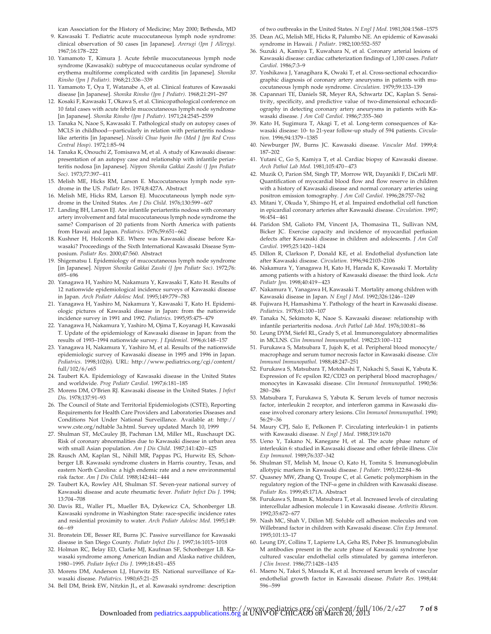ican Association for the History of Medicine; May 2000; Bethesda, MD

- 9. Kawasaki T. Pediatric acute mucocutaneous lymph node syndrome: clinical observation of 50 cases [in Japanese]. *Arerugi (Jpn J Allergy)*. 1967;16:178–222
- 10. Yamamoto T, Kimura J. Acute febrile mucocutaneous lymph node syndrome (Kawasaki): subtype of mucocutaneous ocular syndrome of erythema multiforme complicated with carditis [in Japanese]. *Shonika Rinsho (Jpn J Pediatr)*. 1968;21:336–339
- 11. Yamamoto T, Oya T, Watanabe A, et al. Clinical features of Kawasaki disease [in Japanese]. *Shonika Rinsho (Jpn J Pediatr)*. 1968;21:291–297
- 12. Kosaki F, Kawasaki T, Okawa S, et al. Clinicopathological conference on 10 fatal cases with acute febrile mucocutaneous lymph node syndrome [in Japanese]. *Shonika Rinsho (Jpn J Pediatr)*. 1971;24:2545–2559
- 13. Tanaka N, Naoe S, Kawasaki T. Pathological study on autopsy cases of MCLS in childhood—particularly in relation with periarteritis nodosalike arteritis [in Japanese]. *Nisseki Chuo byoin Iho (Med J Jpn Red Cross Central Hosp)*. 1972;1:85–94
- 14. Tanaka K, Onouchi Z, Tomisawa M, et al. A study of Kawasaki disease: presentation of an autopsy case and relationship with infantile periarteritis nodosa [in Japanese]. *Nippon Shonika Gakkai Zasshi (J Jpn Pediatr Soc)*. 1973;77:397–411
- 15. Melish ME, Hicks RM, Larson E. Mucocutaneous lymph node syndrome in the US. *Pediatr Res*. 1974;8:427A. Abstract
- 16. Melish ME, Hicks RM, Larson EJ. Mucocutaneous lymph node syndrome in the United States. *Am J Dis Child*. 1976;130:599–607
- 17. Landing BH, Larson EJ. Are infantile periarteritis nodosa with coronary artery involvement and fatal mucocutaneous lymph node syndrome the same? Comparison of 20 patients from North America with patients from Hawaii and Japan. *Pediatrics*. 1976;59:651–662
- 18. Kushner H, Holcomb KE. Where was Kawasaki disease before Kawasaki? Proceedings of the Sixth International Kawasaki Disease Symposium. *Pediatr Res*. 2000;47:560. Abstract
- 19. Shigematsu I. Epidemiology of mucocutaneous lymph node syndrome [in Japanese]. *Nippon Shonika Gakkai Zasshi (J Jpn Pediatr Soc)*. 1972;76: 695–696
- 20. Yanagawa H, Yashiro M, Nakamura Y, Kawasaki T, Kato H. Results of 12 nationwide epidemiological incidence surveys of Kawasaki disease in Japan. *Arch Pediatr Adolesc Med*. 1995;149:779–783
- 21. Yanagawa H, Yashiro M, Nakamura Y, Kawasaki T, Kato H. Epidemiologic pictures of Kawasaki disease in Japan: from the nationwide incidence survey in 1991 and 1992. *Pediatrics*. 1995;95:475–479
- 22. Yanagawa H, Nakamura Y, Yashiro M, Ojima T, Koyanagi H, Kawasaki T. Update of the epidemiology of Kawasaki disease in Japan: from the results of 1993–1994 nationwide survey. *J Epidemiol*. 1996;6:148–157
- 23. Yanagawa H, Nakamura Y, Yashiro M, et al. Results of the nationwide epidemiologic survey of Kawasaki disease in 1995 and 1996 in Japan. *Pediatrics*. 1998;102(6). URL: http://www.pediatrics.org/cgi/content/ full/102/6/e65
- 24. Taubert KA. Epidemiology of Kawasaki disease in the United States and worldwide. *Prog Pediatr Cardiol*. 1997;6:181–185
- 25. Morens DM, O'Brien RJ. Kawasaki disease in the United States. *J Infect Dis*. 1978;137:91–93
- 26. The Council of State and Territorial Epidemiologists (CSTE), Reporting Requirements for Health Care Providers and Laboratories Diseases and Conditions Not Under National Surveillance. Available at: http:// www.cste.org/ndtable 3a.html. Survey updated March 10, 1999
- 27. Shulman ST, McCauley JB, Pachman LM, Miller ML, Ruschaupt DG. Risk of coronary abnormalities due to Kawasaki disease in urban area with small Asian population. *Am J Dis Child*. 1987;141:420–425
- 28. Rausch AM, Kaplan SL, Nihill MR, Pappas PG, Hurwitz ES, Schonberger LB. Kawasaki syndrome clusters in Harris country, Texas, and eastern North Carolina: a high endemic rate and a new environmental risk factor. *Am J Dis Child*. 1988;142:441–444
- 29. Taubert KA, Rowley AH, Shulman ST. Seven-year national survey of Kawasaki disease and acute rheumatic fever. *Pediatr Infect Dis J*. 1994; 13:704–708
- 30. Davis RL, Waller PL, Mueller BA, Dykewicz CA, Schonberger LB. Kawasaki syndrome in Washington State: race-specific incidence rates and residential proximity to water. *Arch Pediatr Adolesc Med*. 1995;149: 66–69
- 31. Bronstein DE, Besser RE, Burns JC. Passive surveillance for Kawasaki disease in San Diego County. *Pediatr Infect Dis J*. 1997;16:1015–1018
- 32. Holman RC, Belay ED, Clarke MJ, Kaufman SF, Schonberger LB. Kawasaki syndrome among American Indian and Alaska native children, 1980–1995. *Pediatr Infect Dis J*. 1999;18:451–455
- 33. Morens DM, Anderson LJ, Hurwitz ES. National surveillance of Kawasaki disease. *Pediatrics*. 1980;65:21–25
- 34. Bell DM, Brink EW, Nitzkin JL, et al. Kawasaki syndrome: description

of two outbreaks in the United States. *N Engl J Med*. 1981;304:1568–1575

- 35. Dean AG, Melish ME, Hicks R, Palumbo NE. An epidemic of Kawasaki syndrome in Hawaii. *J Pediatr*. 1982;100:552–557
- 36. Suzuki A, Kamiya T, Kuwahara N, et al. Coronary arterial lesions of Kawasaki disease: cardiac catheterization findings of 1,100 cases. *Pediatr Cardiol*. 1986;7:3–9
- 37. Yoshikawa J, Yanagihara K, Owaki T, et al. Cross-sectional echocardiographic diagnosis of coronary artery aneurysms in patients with mucocutaneous lymph node syndrome. *Circulation*. 1979;59:133–139
- 38. Capannari TE, Daniels SR, Meyer RA, Schwartz DC, Kaplan S. Sensitivity, specificity, and predictive value of two-dimensional echocardiography in detecting coronary artery aneurysms in patients with Kawasaki disease. *J Am Coll Cardiol*. 1986;7:355–360
- 39. Kato H, Sugimura T, Akagi T, et al. Long-term consequences of Kawasaki disease: 10- to 21-year follow-up study of 594 patients. *Circulation*. 1996;94:1379–1385
- 40. Newburger JW, Burns JC. Kawasaki disease. *Vascular Med*. 1999;4: 187–202
- 41. Yutani C, Go S, Kamiya T, et al. Cardiac biopsy of Kawasaki disease. *Arch Pathol Lab Med*. 1981;105:470–473
- 42. Muzik O, Parion SM, Singh TP, Morrow WR, Dayanikli F, DiCarli MF. Quantification of myocardial blood flow and flow reserve in children with a history of Kawasaki disease and normal coronary arteries using positron emission tomography. *J Am Coll Cardiol*. 1996;28:757–762
- 43. Mitani Y, Okuda Y, Shimpo H, et al. Impaired endothelial cell function in epicardial coronary arteries after Kawasaki disease. *Circulation*. 1997; 96:454–461
- 44. Paridon SM, Galioto FM, Vincent JA, Thomasina TL, Sullivan NM, Bicker JC. Exercise capacity and incidence of myocardial perfusion defects after Kawasaki disease in children and adolescents. *J Am Coll Cardiol*. 1995;25:1420–1424
- 45. Dillon R, Clarkson P, Donald KE, et al. Endothelial dysfunction late after Kawasaki disease. *Circulation*. 1996;94:2103–2106
- 46. Nakamura Y, Yanagawa H, Kato H, Harada K, Kawasaki T. Mortality among patients with a history of Kawasaki disease: the third look. *Acta Pediatr Jpn*. 1998;40:419–423
- 47. Nakamura Y, Yanagawa H, Kawasaki T. Mortality among children with Kawasaki disease in Japan. *N Engl J Med*. 1992;326:1246–1249
- 48. Fujiwara H, Hamashima Y. Pathology of the heart in Kawasaki disease. *Pediatrics*. 1978;61:100–107
- 49. Tanaka N, Sekimoto K, Naoe S. Kawasaki disease: relationship with infantile periarteritis nodosa. *Arch Pathol Lab Med*. 1976;100:81–86
- 50. Leung DYM, Siefel RL, Grady S, et al. Immunoregulatory abnormalities in MCLNS. *Clin Immunol Immunopathol*. 1982;23:100–112
- 51. Furukawa S, Matsubara T, Jujoh K, et al. Peripheral blood monocyte/ macrophage and serum tumor necrosis factor in Kawasaki disease. *Clin Immunol Immunopathol*. 1988;48:247–251
- 52. Furukawa S, Matsubara T, Motohashi T, Nakachi S, Sasai K, Yabuta K. Expression of Fc epsilon R2/CD23 on peripheral blood macrophages/ monocytes in Kawasaki disease. *Clin Immunol Immunopathol*. 1990;56: 280–286
- 53. Matsubara T, Furukawa S, Yabuta K. Serum levels of tumor necrosis factor, interleukin 2 receptor, and interferon gamma in Kawasaki disease involved coronary artery lesions. *Clin Immunol Immunopathol*. 1990; 56:29–36
- 54. Maury CPJ, Salo E, Pelkonen P. Circulating interleukin-1 in patients with Kawasaki disease. *N Engl J Med*. 1988;319:1670
- 55. Ueno Y, Takano N, Kanegane H, et al. The acute phase nature of interleukin 6: studied in Kawasaki disease and other febrile illness. *Clin Exp Immunol.* 1989;76:337–342
- 56. Shulman ST, Melish M, Inoue O, Kato H, Tomita S. Immunoglobulin allotypic markers in Kawasaki disease. *J Pediatr*. 1993;122:84–86
- 57. Quasney MW, Zhang Q, Troupe C, et al. Genetic polymorphism in the regulatory region of the TNF- $\alpha$  gene in children with Kawasaki disease. *Pediatr Res*. 1999;45:171A. Abstract
- 58. Furukawa S, Imam K, Matsubara T, et al. Increased levels of circulating intercellular adhesion molecule 1 in Kawasaki disease. *Arthritis Rheum*. 1992;35:672–677
- 59. Nash MC, Shah V, Dillon MJ. Soluble cell adhesion molecules and von Willebrand factor in children with Kawasaki disease. *Clin Exp Immunol*. 1995;101:13–17
- 60. Leung DY, Collins T, Lapierre LA, Geha RS, Pober JS. Immunoglobulin M antibodies present in the acute phase of Kawasaki syndrome lyse cultured vascular endothelial cells stimulated by gamma interferon. *J Clin Invest*. 1986;77:1428–1435
- 61. Maeno N, Takei S, Masuda K, et al. Increased serum levels of vascular endothelial growth factor in Kawasaki disease. *Pediatr Res*. 1998;44: 596–599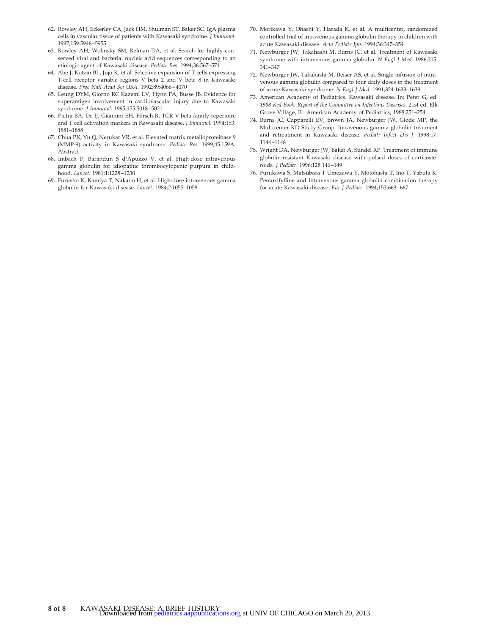- 62. Rowley AH, Eckerley CA, Jack HM, Shulman ST, Baker SC. IgA plasma cells in vascular tissue of patients with Kawasaki syndrome. *J Immunol*. 1997;159:5946–5955
- 63. Rowley AH, Wolinsky SM, Relman DA, et al. Search for highly conserved viral and bacterial nucleic acid sequences corresponding to an etiologic agent of Kawasaki disease. *Pediatr Res*. 1994;36:567–571
- 64. Abe J, Kotzin BL, Jujo K, et al. Selective expansion of T cells expressing T-cell receptor variable regions V beta 2 and V beta 8 in Kawasaki disease. *Proc Natl Acad Sci USA*. 1992;89:4066–4070
- 65. Leung DYM, Giorno RC Kazemi LV, Flynn PA, Busse JB. Evidence for superantigen involvement in cardiovascular injury due to Kawasaki syndrome. *J Immunol*. 1995;155:5018–5021
- 66. Pietra BA, De IJ, Giannini EH, Hirsch R. TCR V beta family repertoire and T cell activation markers in Kawasaki disease. *J Immunol*. 1994;153: 1881–1888
- 67. Chua PK, Yu Q, Nerukar VR, et al. Elevated matrix metalloproteinase 9 (MMP-9) activity in Kawasaki syndrome. *Pediatr Res*. 1999;45:159A. Abstract
- 68. Imbach P, Barandun S d'Apuzzo V, et al. High-dose intravenous gamma globulin for idiopathic thrombocytopenic purpura in childhood. *Lancet*. 1981;1:1228–1230
- 69. Furusho K, Kamiya T, Nakano H, et al. High-dose intravenous gamma globulin for Kawasaki disease. *Lancet*. 1984;2:1055–1058
- 70. Morikawa Y, Ohashi Y, Harada K, et al. A multicenter, randomized controlled trial of intravenous gamma globulin therapy in children with acute Kawasaki disease. *Acta Pediatr Jpn*. 1994;36:347–354
- 71. Newburger JW, Takahashi M, Burns JC, et al. Treatment of Kawasaki syndrome with intravenous gamma globulin. *N Engl J Med*. 1986;315: 341–347
- 72. Newburger JW, Takahashi M, Beiser AS, et al. Single infusion of intravenous gamma globulin compared to four daily doses in the treatment of acute Kawasaki syndrome. *N Engl J Med*. 1991;324:1633–1639
- 73. American Academy of Pediatrics. Kawasaki disease. In: Peter G, ed. *1988 Red Book: Report of the Committee on Infectious Diseases*. 21st ed. Elk Grove Village, IL: American Academy of Pediatrics; 1988:251–254
- 74. Burns JC, Capparelli EV, Brown JA, Newburger JW, Glode MP, the Multicenter KD Study Group. Intravenous gamma globulin treatment and retreatment in Kawasaki disease. *Pediatr Infect Dis J*. 1998;17: 1144–1148
- 75. Wright DA, Newburger JW, Baker A, Sundel RP. Treatment of immune globulin-resistant Kawasaki disease with pulsed doses of corticosteroids. *J Pediatr*. 1996;128:146–149
- 76. Furukawa S, Matsubara T Umezawa Y, Motohashi T, Ino T, Yabuta K. Pentoxifylline and intravenous gamma globulin combination therapy for acute Kawasaki disease. *Eur J Pediatr*. 1994;153:663–667